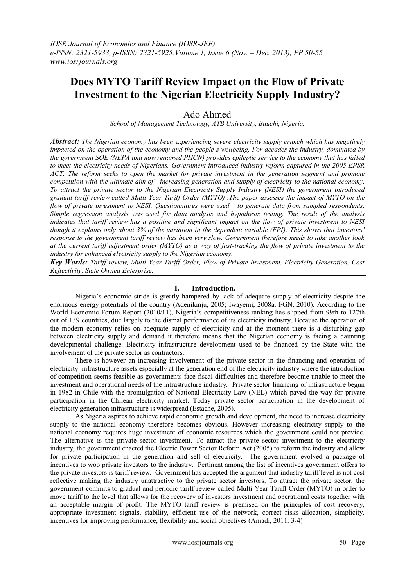# **Does MYTO Tariff Review Impact on the Flow of Private Investment to the Nigerian Electricity Supply Industry?**

# Ado Ahmed

*School of Management Technology, ATB University, Bauchi, Nigeria.*

*Abstract: The Nigerian economy has been experiencing severe electricity supply crunch which has negatively impacted on the operation of the economy and the people's wellbeing. For decades the industry, dominated by the government SOE (NEPA and now renamed PHCN) provides epileptic service to the economy that has failed to meet the electricity needs of Nigerians. Government introduced industry reform captured in the 2005 EPSR ACT. The reform seeks to open the market for private investment in the generation segment and promote competition with the ultimate aim of increasing generation and supply of electricity to the national economy. To attract the private sector to the Nigerian Electricity Supply Industry (NESI) the government introduced gradual tariff review called Multi Year Tariff Order (MYTO) .The paper assesses the impact of MYTO on the flow of private investment to NESI. Questionnaires were used to generate data from sampled respondents. Simple regression analysis was used for data analysis and hypothesis testing. The result of the analysis indicates that tariff review has a positive and significant impact on the flow of private investment to NESI though it explains only about 3% of the variation in the dependent variable (FPI). This shows that investors' response to the government tariff review has been very slow. Government therefore needs to take another look at the current tariff adjustment order (MYTO) as a way of fast-tracking the flow of private investment to the industry for enhanced electricity supply to the Nigerian economy.*

*Key Words: Tariff review, Multi Year Tariff Order, Flow of Private Investment, Electricity Generation, Cost Reflectivity, State Owned Enterprise.*

# **I. Introduction.**

Nigeria"s economic stride is greatly hampered by lack of adequate supply of electricity despite the enormous energy potentials of the country (Adenikinju, 2005; Iwayemi, 2008a; FGN, 2010). According to the World Economic Forum Report (2010/11), Nigeria"s competitiveness ranking has slipped from 99th to 127th out of 139 countries, due largely to the dismal performance of its electricity industry. Because the operation of the modern economy relies on adequate supply of electricity and at the moment there is a disturbing gap between electricity supply and demand it therefore means that the Nigerian economy is facing a daunting developmental challenge. Electricity infrastructure development used to be financed by the State with the involvement of the private sector as contractors.

There is however an increasing involvement of the private sector in the financing and operation of electricity infrastructure assets especially at the generation end of the electricity industry where the introduction of competition seems feasible as governments face fiscal difficulties and therefore become unable to meet the investment and operational needs of the infrastructure industry. Private sector financing of infrastructure begun in 1982 in Chile with the promulgation of National Electricity Law (NEL) which paved the way for private participation in the Chilean electricity market. Today private sector participation in the development of electricity generation infrastructure is widespread (Estache, 2005).

As Nigeria aspires to achieve rapid economic growth and development, the need to increase electricity supply to the national economy therefore becomes obvious. However increasing electricity supply to the national economy requires huge investment of economic resources which the government could not provide. The alternative is the private sector investment. To attract the private sector investment to the electricity industry, the government enacted the Electric Power Sector Reform Act (2005) to reform the industry and allow for private participation in the generation and sell of electricity. The government evolved a package of incentives to woo private investors to the industry. Pertinent among the list of incentives government offers to the private investors is tariff review. Government has accepted the argument that industry tariff level is not cost reflective making the industry unattractive to the private sector investors. To attract the private sector, the government commits to gradual and periodic tariff review called Multi Year Tariff Order (MYTO) in order to move tariff to the level that allows for the recovery of investors investment and operational costs together with an acceptable margin of profit. The MYTO tariff review is premised on the principles of cost recovery, appropriate investment signals, stability, efficient use of the network, correct risks allocation, simplicity, incentives for improving performance, flexibility and social objectives (Amadi, 2011: 3-4)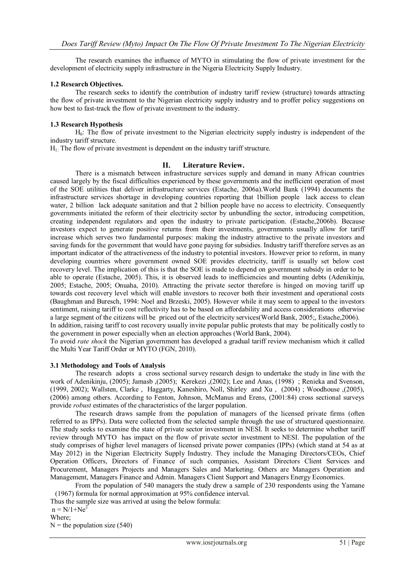The research examines the influence of MYTO in stimulating the flow of private investment for the development of electricity supply infrastructure in the Nigeria Electricity Supply Industry.

#### **1.2 Research Objectives.**

The research seeks to identify the contribution of industry tariff review (structure) towards attracting the flow of private investment to the Nigerian electricity supply industry and to proffer policy suggestions on how best to fast-track the flow of private investment to the industry.

# **1.3 Research Hypothesis**

H0: The flow of private investment to the Nigerian electricity supply industry is independent of the industry tariff structure.

H1: The flow of private investment is dependent on the industry tariff structure.

# **II. Literature Review.**

There is a mismatch between infrastructure services supply and demand in many African countries caused largely by the fiscal difficulties experienced by these governments and the inefficient operation of most of the SOE utilities that deliver infrastructure services (Estache, 2006a).World Bank (1994) documents the infrastructure services shortage in developing countries reporting that 1billion people lack access to clean water, 2 billion lack adequate sanitation and that 2 billion people have no access to electricity. Consequently governments initiated the reform of their electricity sector by unbundling the sector, introducing competition, creating independent regulators and open the industry to private participation. (Estache,2006b). Because investors expect to generate positive returns from their investments, governments usually allow for tariff increase which serves two fundamental purposes: making the industry attractive to the private investors and saving funds for the government that would have gone paying for subsidies. Industry tariff therefore serves as an important indicator of the attractiveness of the industry to potential investors. However prior to reform, in many developing countries where government owned SOE provides electricity, tariff is usually set below cost recovery level. The implication of this is that the SOE is made to depend on government subsidy in order to be able to operate (Estache, 2005). This, it is observed leads to inefficiencies and mounting debts (Adenikinju, 2005; Estache, 2005; Onuaha, 2010). Attracting the private sector therefore is hinged on moving tariff up towards cost recovery level which will enable investors to recover both their investment and operational costs (Baughman and Buresch, 1994: Noel and Brzeski, 2005). However while it may seem to appeal to the investors sentiment, raising tariff to cost reflectivity has to be based on affordability and access considerations otherwise a large segment of the citizens will be priced out of the electricity services(World Bank, 2005;, Estache,2006). In addition, raising tariff to cost recovery usually invite popular public protests that may be politically costly to

the government in power especially when an election approaches (World Bank, 2004).

To avoid *rate shock* the Nigerian government has developed a gradual tariff review mechanism which it called the Multi Year Tariff Order or MYTO (FGN, 2010).

#### **3.1 Methodology and Tools of Analysis**

The research adopts a cross sectional survey research design to undertake the study in line with the work of Adenikinju, (2005); Jamasb ,(2005); Kerekezi ,(2002); Lee and Anas, (1998) ; Renieka and Svenson, (1999, 2002); Wallsten, Clarke , Haggarty, Kaneshiro, Noll, Shirley and Xu , (2004) ; Woodhouse ,(2005), (2006) among others. According to Fenton, Johnson, McManus and Erens, (2001:84) cross sectional surveys provide *robust* estimates of the characteristics of the larger population.

The research draws sample from the population of managers of the licensed private firms (often referred to as IPPs). Data were collected from the selected sample through the use of structured questionnaire. The study seeks to examine the state of private sector investment in NESI. It seeks to determine whether tariff review through MYTO has impact on the flow of private sector investment to NESI. The population of the study comprises of higher level managers of licensed private power companies (IPPs) (which stand at 54 as at May 2012) in the Nigerian Electricity Supply Industry. They include the Managing Directors/CEOs, Chief Operation Officers, Directors of Finance of such companies, Assistant Directors Client Services and Procurement, Managers Projects and Managers Sales and Marketing. Others are Managers Operation and Management, Managers Finance and Admin. Managers Client Support and Managers Energy Economics.

From the population of 540 managers the study drew a sample of 230 respondents using the Yamane (1967) formula for normal approximation at 95% confidence interval.

Thus the sample size was arrived at using the below formula:

 $n = N/1 + Ne<sup>2</sup>$ 

Where;

 $N =$  the population size (540)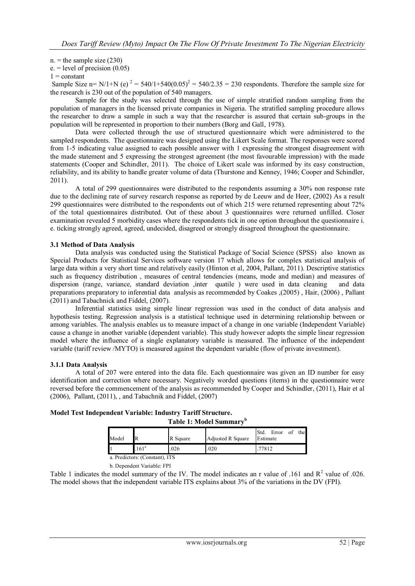$n =$  the sample size (230)

 $e = level of precision (0.05)$ 

#### $1 = constant$

Sample Size n= N/1+N (e)  $^2 = 540/1+540(0.05)^2 = 540/2.35 = 230$  respondents. Therefore the sample size for the research is 230 out of the population of 540 managers.

Sample for the study was selected through the use of simple stratified random sampling from the population of managers in the licensed private companies in Nigeria. The stratified sampling procedure allows the researcher to draw a sample in such a way that the researcher is assured that certain sub-groups in the population will be represented in proportion to their numbers (Borg and Gall, 1978).

Data were collected through the use of structured questionnaire which were administered to the sampled respondents. The questionnaire was designed using the Likert Scale format. The responses were scored from 1-5 indicating value assigned to each possible answer with 1 expressing the strongest disagreement with the made statement and 5 expressing the strongest agreement (the most favourable impression) with the made statements (Cooper and Schindler, 2011). The choice of Likert scale was informed by its easy construction, reliability, and its ability to handle greater volume of data (Thurstone and Kenney, 1946; Cooper and Schindler, 2011).

A total of 299 questionnaires were distributed to the respondents assuming a 30% non response rate due to the declining rate of survey research response as reported by de Leeuw and de Heer, (2002) As a result 299 questionnaires were distributed to the respondents out of which 215 were returned representing about 72% of the total questionnaires distributed. Out of these about 3 questionnaires were returned unfilled. Closer examination revealed 5 morbidity cases where the respondents tick in one option throughout the questionnaire i. e. ticking strongly agreed, agreed, undecided, disagreed or strongly disagreed throughout the questionnaire.

# **3.1 Method of Data Analysis**

Data analysis was conducted using the Statistical Package of Social Science (SPSS) also known as Special Products for Statistical Services software version 17 which allows for complex statistical analysis of large data within a very short time and relatively easily (Hinton et al, 2004, Pallant, 2011). Descriptive statistics such as frequency distribution , measures of central tendencies (means, mode and median) and measures of dispersion (range, variance, standard deviation ,inter quatile ) were used in data cleaning and data preparations preparatory to inferential data analysis as recommended by Coakes ,(2005) , Hair, (2006) , Pallant (2011) and Tabachnick and Fiddel, (2007).

Inferential statistics using simple linear regression was used in the conduct of data analysis and hypothesis testing. Regression analysis is a statistical technique used in determining relationship between or among variables. The analysis enables us to measure impact of a change in one variable (Independent Variable) cause a change in another variable (dependent variable). This study however adopts the simple linear regression model where the influence of a single explanatory variable is measured. The influence of the independent variable (tariff review /MYTO) is measured against the dependent variable (flow of private investment).

#### **3.1.1 Data Analysis**

A total of 207 were entered into the data file. Each questionnaire was given an ID number for easy identification and correction where necessary. Negatively worded questions (items) in the questionnaire were reversed before the commencement of the analysis as recommended by Cooper and Schindler, (2011), Hair et al (2006), Pallant, (2011), , and Tabachnik and Fiddel, (2007)

| Table 1: Model Summary <sup>p</sup> |                                |          |                   |                                     |  |  |  |
|-------------------------------------|--------------------------------|----------|-------------------|-------------------------------------|--|--|--|
| Model                               |                                | R Square | Adjusted R Square | the<br>Std.<br>Error of<br>Estimate |  |  |  |
|                                     | .161 <sup>a</sup>              | .026     | .020              | .77812                              |  |  |  |
|                                     | a. Predictors: (Constant). ITS |          |                   |                                     |  |  |  |

# **Model Test Independent Variable: Industry Tariff Structure.**

b. Dependent Variable: FPI

Table 1 indicates the model summary of the IV. The model indicates an r value of .161 and  $R^2$  value of .026. The model shows that the independent variable ITS explains about 3% of the variations in the DV (FPI).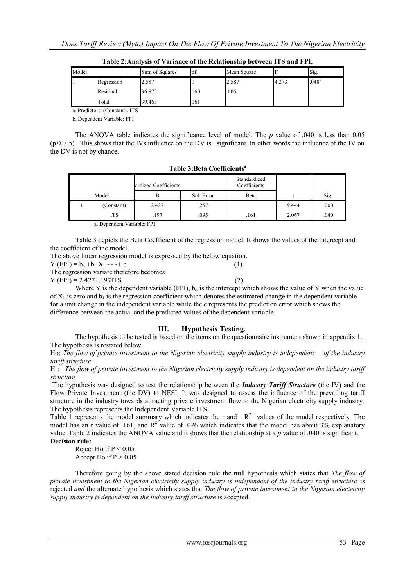| Model |            | Sum of Squares | df  | Mean Square |       | Sig.              |  |
|-------|------------|----------------|-----|-------------|-------|-------------------|--|
|       | Regression | 2.587          |     | 2.587       | 4.273 | .040 <sup>a</sup> |  |
|       | Residual   | 96.875         | 160 | .605        |       |                   |  |
|       | Total      | 99.463         | 161 |             |       |                   |  |

**Table 2:Analysis of Variance of the Relationship between ITS and FPI.**

a. Predictors: (Constant), ITS

b. Dependent Variable: FPI

The ANOVA table indicates the significance level of model. The *p* value of .040 is less than 0.05  $(p<0.05)$ . This shows that the IVs influence on the DV is significant. In other words the influence of the IV on the DV is not by chance.

| ardized Coefficients |            |       | Standardized<br>Coefficients |      |       |      |
|----------------------|------------|-------|------------------------------|------|-------|------|
| Model                |            |       | Std. Error                   | Beta |       | Sig. |
|                      | (Constant) | 2.427 | .257                         |      | 9.444 | .000 |
|                      | ITS.       | 197   | .095                         | .161 | 2.067 | .040 |

**Table 3:Beta Coefficients<sup>a</sup>**

a. Dependent Variable: FPI

Table 3 depicts the Beta Coefficient of the regression model. It shows the values of the intercept and the coefficient of the model.

The above linear regression model is expressed by the below equation.  $Y (FPI) = b_0 + b_1 X_1 - \cdots + e$  (1) The regression variate therefore becomes

 $Y (FPI) = 2.427 + 1971TS$  (2)

Where Y is the dependent variable (FPI),  $b_0$  is the intercept which shows the value of Y when the value of  $X_1$  is zero and  $b_1$  is the regression coefficient which denotes the estimated change in the dependent variable for a unit change in the independent variable while the e represents the prediction error which shows the difference between the actual and the predicted values of the dependent variable.

# **III. Hypothesis Testing.**

The hypothesis to be tested is based on the items on the questionnaire instrument shown in appendix 1. The hypothesis is restated below.

Ho: *The flow of private investment to the Nigerian electricity supply industry is independent of the industry tariff structure.*

H1: *The flow of private investment to the Nigerian electricity supply industry is dependent on the industry tariff structure.*

The hypothesis was designed to test the relationship between the *Industry Tariff Structure* (the IV) and the Flow Private Investment (the DV) to NESI. It was designed to assess the influence of the prevailing tariff structure in the industry towards attracting private investment flow to the Nigerian electricity supply industry. The hypothesis represents the Independent Variable ITS.

Table 1 represents the model summary which indicates the r and  $R^2$  values of the model respectively. The model has an r value of .161, and  $R^2$  value of .026 which indicates that the model has about 3% explanatory value. Table 2 indicates the ANOVA value and it shows that the relationship at a *p* value of .040 is significant. **Decision rule:**

Reject Ho if  $P < 0.05$ 

Accept Ho if  $P > 0.05$ 

Therefore going by the above stated decision rule the null hypothesis which states that *The flow of private investment to the Nigerian electricity supply industry is independent of the industry tariff structure* is rejected *and* the alternate hypothesis which states that *The flow of private investment to the Nigerian electricity supply industry is dependent on the industry tariff structure* is accepted.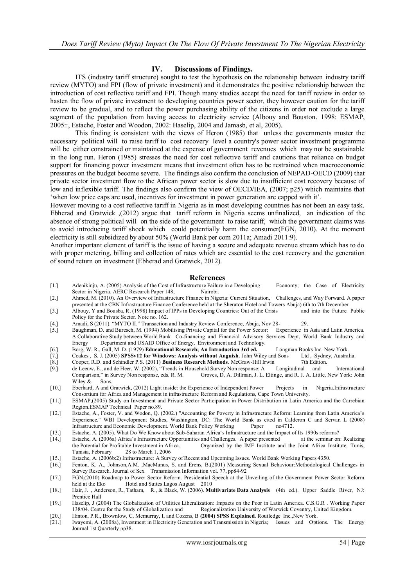# **IV. Discussions of Findings.**

ITS (industry tariff structure) sought to test the hypothesis on the relationship between industry tariff review (MYTO) and FPI (flow of private investment) and it demonstrates the positive relationship between the introduction of cost reflective tariff and FPI. Though many studies accept the need for tariff review in order to hasten the flow of private investment to developing countries power sector, they however caution for the tariff review to be gradual, and to reflect the power purchasing ability of the citizens in order not exclude a large segment of the population from having access to electricity service (Albouy and Bouston, 1998: ESMAP, 2005::, Estache, Foster and Woodon, 2002: Haselip, 2004 and Jamasb, et al, 2005).

This finding is consistent with the views of Heron (1985) that unless the governments muster the necessary political will to raise tariff to cost recovery level a country's power sector investment programme will be either constrained or maintained at the expense of government revenues which may not be sustainable in the long run. Heron (1985) stresses the need for cost reflective tariff and cautions that reliance on budget support for financing power investment means that investment often has to be restrained when macroeconomic pressures on the budget become severe. The findings also confirm the conclusion of NEPAD-OECD (2009) that private sector investment flow to the African power sector is slow due to insufficient cost recovery because of low and inflexible tariff. The findings also confirm the view of OECD/IEA, (2007; p25) which maintains that "when low price caps are used, incentives for investment in power generation are capped with it".

However moving to a cost reflective tariff in Nigeria as in most developing countries has not been an easy task. Ebherad and Gratwick ,(2012) argue that tariff reform in Nigeria seems unfinalized, an indication of the absence of strong political will on the side of the government to raise tariff, which the government claims was to avoid introducing tariff shock which could potentially harm the consumer(FGN, 2010). At the moment electricity is still subsidized by about 50% (World Bank per com 2011a; Amadi 2011:9).

Another important element of tariff is the issue of having a secure and adequate revenue stream which has to do with proper metering, billing and collection of rates which are essential to the cost recovery and the generation of sound return on investment (Ebherad and Gratwick, 2012).

#### **References**

- [1.] Adenikinju, A. (2005) Analysis of the Cost of Infrastructure Failure in a Developing Economy; the Case of Electricity Sector in Nigeria. AERC Research Paper 148, Nairobi.
- [2.] Ahmed, M. (2010). An Overview of Infrastructure Finance in Nigeria: Current Situation, Challenges, and Way Forward. A paper presented at the CBN Infrastructure Finance Conference held at the Sheraton Hotel and Towers Abuja) 6th to 7th December<br>Albouy, Y and Bousba, R. (1998) Impact of IPPs in Developing Countries: Out of the Crisis and into the
- [3.] Albouy, Y and Bousba, R. (1998) Impact of IPPs in Developing Countries: Out of the Crisis Policy for the Private Sector. Note no. 162.
- For the March Control of the March Conference, Abuja, Nov 28-<br>
[4.] Amadi, S (2011). "MYTO II." Transaction and Industry Review Conference, Abuja, Nov 28-<br>
[5.] Baughman, D. and Buresch, M. (1994) Mobilising Private Capita
- [5.] Baughman, D. and Buresch, M. (1994) Mobilising Private Capital for the Power Sector: Experience in Asia and Latin America. A Collaborative Study between World Bank Co-financing and Financial Advisory Services Dept, World Bank Industry and Department and USAID Office of Energy, Environment and Technology.
- [6.] Borg, W. R., Gall, M. D. (1979) **Educational Research; An Introduction 3rd ed.** Longman Books Inc. New York.
- $Coakes$ , S. J. (2005) **SPSSv12 for Windows: Analysis without Anguish.** John Wiley and Sons
- [8.] Cooper, R.D. and Schindler P.S. (2011) **Business Research Methods**. McGraw-Hill Irwin 7th Edition.
- [9.] de Leeuw, E., and de Heer, W. (2002), "Trends in Household Survey Non response: A Longitudinal and International Comparison," in Survey Non response, eds. R. M. Groves, D. A. Dillman, J. L. Eltinge, and R. J. A. Little, New York: John Wiley & Sons.
- [10.] Eberhard, A and Gratwick, (2012) Light inside: the Experience of Independent Power Projects in Nigeria.Infrastructure Consortium for Africa and Management in infrastructure Reform and Regulations, Cape Town University.
- [11.] ESMAP,(2005) Study on Investment and Private Sector Participation in Power Distribution in Latin America and the Carrebian Region.ESMAP Technical Paper no.89.
- [12.] Estache, A., Foster, V. and Wodon, Q. (2002.) "Accounting for Poverty in Infrastructure Reform: Learning from Latin America"s Experience." WBI Development Studies, Washington, DC: The World Bank as cited in Calderon C and Servan L (2008) Infrastructure and Economic Development. World Bank Policy Working Paper no4712. Infrastructure and Economic Development. World Bank Policy Working
- [13.] Estache, A. (2005). What Do We Know about Sub-Saharan Africa"s Infrastructure and the Impact of Its 1990s reforms?
- [14.] Estache, A. (2006a) Africa's Infrastructure Opportunities and Challenges. A paper presented at the seminar on: Realizing the Potential for Profitable Investment in Africa. Organized by the IMF Institute and the Joint Organized by the IMF Institute and the Joint Africa Institute, Tunis, Tunisia, February 28 to March 1, 2006
- [15.] Estache, A. (2006b:2) Infrastructure: A Survey of Recent and Upcoming Issues. World Bank Working Papers 4350.
- [16.] Fenton, K. A., Johnson,A.M. ,MacManus, S. and Erens, B.(2001) Measuring Sexual Behaviour:Methodological Challenges in Survey Research. Journal of Sex Transmission Information vol. 77, pp84-92
- [17.] FGN,(2010) Roadmap to Power Sector Reform. Presidential Speech at the Unveiling of the Government Power Sector Reform held at the Eko Hotel and Suites Lagos August 2010
- [18.] Hair, J. , Anderson, R., Tatham, R., & Black, W. (2006). **Multivariate Data Analysis** (4th ed.). Upper Saddle River, NJ: Prentice Hall
- [19.] Haselip, J (2004) The Globalization of Utilities Liberalization: Impacts on the Poor in Latin America. C.S.G.R . Working Paper Regionalization University of Warwick Coventry, United Kingdom.
- [20.] Hinton, P.R., Brownlow, C, Mcmurray, I, and Cozens, B **(2004) SPSS Explained**. Routledge Inc.,New York.
- [21.] Iwayemi, A. (2008a), Investment in Electricity Generation and Transmission in Nigeria; Issues and Options. The Energy Journal 1st Quarterly pp38.